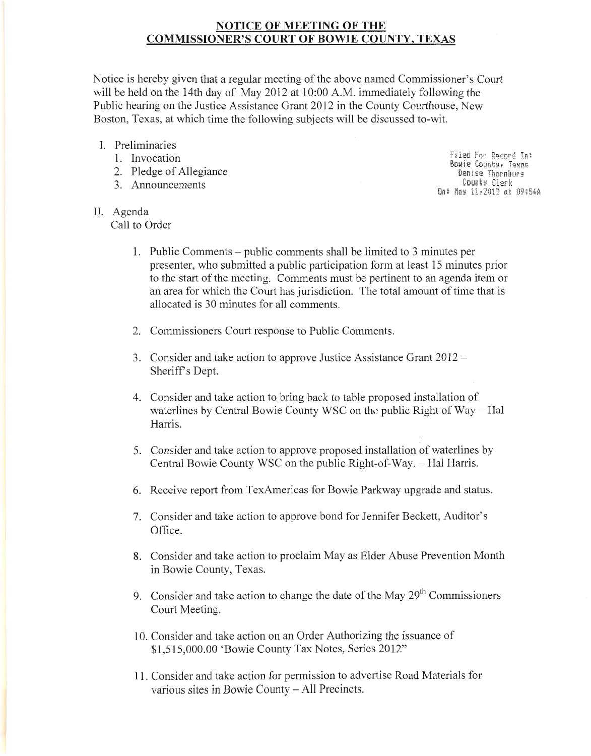# **NOTICE OF MEETING OF THE COMMISSIONER'S COURT OF BOWIE COUNTY, TEXAS**

Notice is hereby given that a regular meeting of the above named Commissioner's Court will be held on the 14th day of May 2012 at 10:00 A.M. immediately following the Public hearing on the Justice Assistance Grant 2012 in the County Courthouse, New Boston, Texas, at which time the following subjects will be discussed to-wit.

- I. Preliminaries
	- 1. Invocation
	- 2. Pledge of Allegiance
	- 3. Announcements

II. Agenda

Call to Order

**Filed For Record In:** Bowie County, Texas Denise Thornburg Counts Clerk On: Mas 11,2012 at 09:54A

- **1.** Public Comments- public comments shall be limited to 3 minutes per presenter, who submitted a public participation form at least 15 minutes prior to the start of the meeting. Comments must be pertinent to an agenda item or an area for which the Court has jurisdiction. The total amount of time that is allocated is 30 minutes for all comments.
- 2. Commissioners Court response to Public Comments.
- 3. Consider and take action to approve Justice Assistance Grant 2012- Sheriff's Dept.
- 4. Consider and take action to bring back to table proposed installation of waterlines by Central Bowie County WSC on the public Right of Way - Hal Harris.
- 5. Consider and take action to approve proposed installation of waterlines by Central Bowie County WSC on the public Right-of-Way. -- Hal Harris.
- 6. Receive report from TexAmericas for Bowie Parkway upgrade and status.
- 7. Consider and take action to approve bond for Jennifer Beckett, Auditor's Office.
- 8. Consider and take action to proclaim May as Elder Abuse Prevention Month in Bowie County, Texas.
- 9. Consider and take action to change the date of the May  $29<sup>th</sup>$  Commissioners Court Meeting.
- 10. Consider and take action on an Order Authorizing the issuance of \$1 ,515,000.00 'Bowie County Tax Notes, Series 2012"
- 11. Consider and take action for permission to advertise Road Materials for various sites in Bowie County - All Precincts.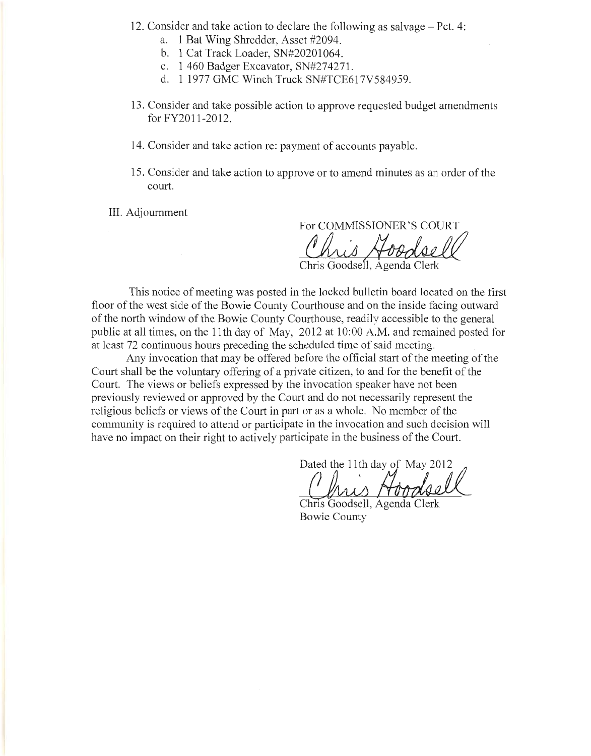- 12. Consider and take action to declare the following as salvage- Pet. 4:
	- a. 1 Bat Wing Shredder, Asset #2094.
	- b. 1 Cat Track Loader, SN#20201064.
	- c. 1 460 Badger Excavator, SN#274271 .
	- d. 1 1977 GMC Winch Truck SN#TCE617V584959.
- 13. Consider and take possible action to approve requested budget amendments for FY2011 -2012.
- 14. Consider and take action re: payment of accounts payable.
- 15. Consider and take action to approve or to amend minutes as an order of the court.

III. Adjournment

For COMMISSIONER'S COURT<br>
Chris Goodsell, Agenda Clerk

Chris Goodsell, Agenda Clerl

This notice of meeting was posted in the locked bulletin board located on the first floor of the west side of the Bowie County Courthouse and on the inside facing outward of the north window of the Bowie County Courthouse, readily accessible to the general public at all times, on the 11th day of May, 2012 at 10:00 A.M. and remained posted for at least 72 continuous hours preceding the scheduled time of said meeting.

Any invocation that may be offered before the official start of the meeting of the Court shall be the voluntary offering of a private citizen, to and for the benefit of the Court. The views or beliefs expressed by the invocation speaker have not been previously reviewed or approved by the Court and do not necessarily represent the religious beliefs or views of the Court in part or as a whole. No member of the community is required to attend or participate in the invocation and such decision will have no impact on their right to actively participate in the business of the Court.

Dated the 11th day of May 2012

Chris Goodsell, Agenda Clerk Bowie County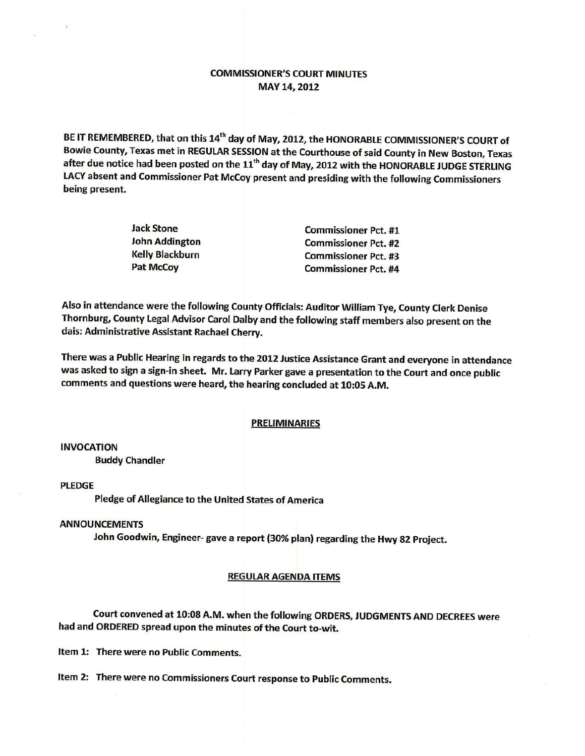# **COMMISSIONER'S COURT MINUTES** MAY 14, 2012

BE IT REMEMBERED, that on this 14<sup>th</sup> day of May, 2012, the HONORABLE COMMISSIONER'S COURT of Bowie County, Texas met in REGULAR SESSION at the Courthouse of said County in New Boston, Texas after due notice had been posted on the 11<sup>th</sup> day of May, 2012 with the HONORABLE JUDGE STERLING LACY absent and Commissioner Pat McCoy present and presiding with the following Commissioners being present.

| lack Stone            | <b>Commissioner Pct. #1</b> |
|-----------------------|-----------------------------|
| <b>John Addington</b> | <b>Commissioner Pct. #2</b> |
| Kelly Blackburn       | <b>Commissioner Pct. #3</b> |
| Pat McCoy             | <b>Commissioner Pct. #4</b> |

Also in attendance were the following County Officials: Auditor William Tye, County Clerk Denise Thornburg, County Legal Advisor Carol Dalby and the following staff members also present on the dais: Administrative Assistant Rachael Cherry.

There was a Public Hearing in regards to the 2012 Justice Assistance Grant and everyone in attendance was asked to sign a sign-in sheet. Mr. Larry Parker gave a presentation to the Court and once public comments and questions were heard, the hearing concluded at 10:05 A.M.

#### **PRELIMINARIES**

**INVOCATION** 

**Buddy Chandler** 

**PLEDGE** 

Pledge of Allegiance to the United States of America

### **ANNOUNCEMENTS**

John Goodwin, Engineer-gave a report (30% plan) regarding the Hwy 82 Project.

### **REGULAR AGENDA ITEMS**

Court convened at 10:08 A.M. when the following ORDERS, JUDGMENTS AND DECREES were had and ORDERED spread upon the minutes of the Court to-wit.

Item 1: There were no Public Comments.

Item 2: There were no Commissioners Court response to Public Comments.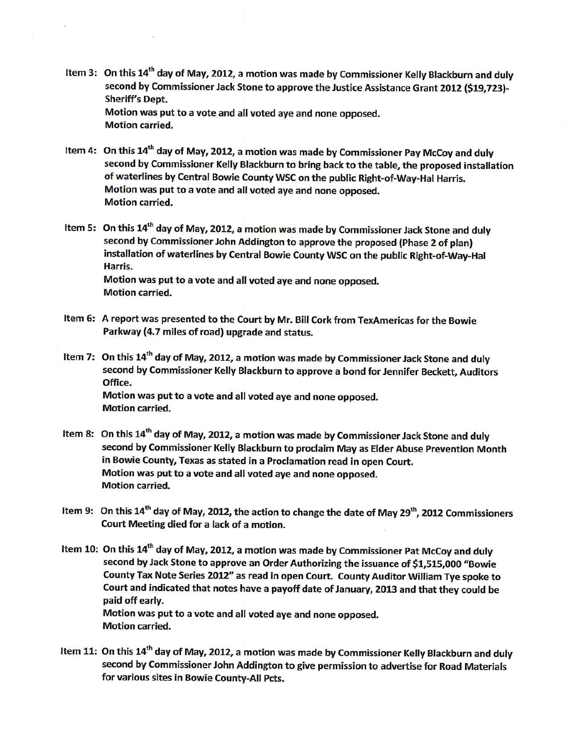- Item 3: On this 14<sup>th</sup> day of May, 2012, a motion was made by Commissioner Kelly Blackburn and duly second by Commissioner Jack Stone to approve the Justice Assistance Grant 2012 (\$19,723)-Sheriff's Dept. Motion was put to a vote and all voted aye and none opposed. **Motion carried.**
- Item 4: On this 14<sup>th</sup> day of May, 2012, a motion was made by Commissioner Pay McCoy and duly second by Commissioner Kelly Blackburn to bring back to the table, the proposed installation of waterlines by Central Bowie County WSC on the public Right-of-Way-Hal Harris. Motion was put to a vote and all voted aye and none opposed. **Motion carried.**
- Item 5: On this 14<sup>th</sup> day of May, 2012, a motion was made by Commissioner Jack Stone and duly second by Commissioner John Addington to approve the proposed (Phase 2 of plan) installation of waterlines by Central Bowie County WSC on the public Right-of-Way-Hal Harris. Motion was put to a vote and all voted aye and none opposed. **Motion carried.**
- Item 6: A report was presented to the Court by Mr. Bill Cork from TexAmericas for the Bowie Parkway (4.7 miles of road) upgrade and status.
- Item 7: On this 14<sup>th</sup> day of May, 2012, a motion was made by Commissioner Jack Stone and duly second by Commissioner Kelly Blackburn to approve a bond for Jennifer Beckett, Auditors Office. Motion was put to a vote and all voted aye and none opposed. **Motion carried.**
- Item 8: On this 14<sup>th</sup> day of May, 2012, a motion was made by Commissioner Jack Stone and duly second by Commissioner Kelly Blackburn to proclaim May as Elder Abuse Prevention Month in Bowie County, Texas as stated in a Proclamation read in open Court. Motion was put to a vote and all voted aye and none opposed. **Motion carried.**
- Item 9: On this 14<sup>th</sup> day of May, 2012, the action to change the date of May 29<sup>th</sup>, 2012 Commissioners Court Meeting died for a lack of a motion.
- Item 10: On this 14<sup>th</sup> day of May, 2012, a motion was made by Commissioner Pat McCoy and duly second by Jack Stone to approve an Order Authorizing the issuance of \$1,515,000 "Bowie County Tax Note Series 2012" as read in open Court. County Auditor William Tye spoke to Court and indicated that notes have a payoff date of January, 2013 and that they could be paid off early. Motion was put to a vote and all voted aye and none opposed. **Motion carried.**
- Item 11: On this 14<sup>th</sup> day of May, 2012, a motion was made by Commissioner Kelly Blackburn and duly second by Commissioner John Addington to give permission to advertise for Road Materials for various sites in Bowie County-All Pcts.